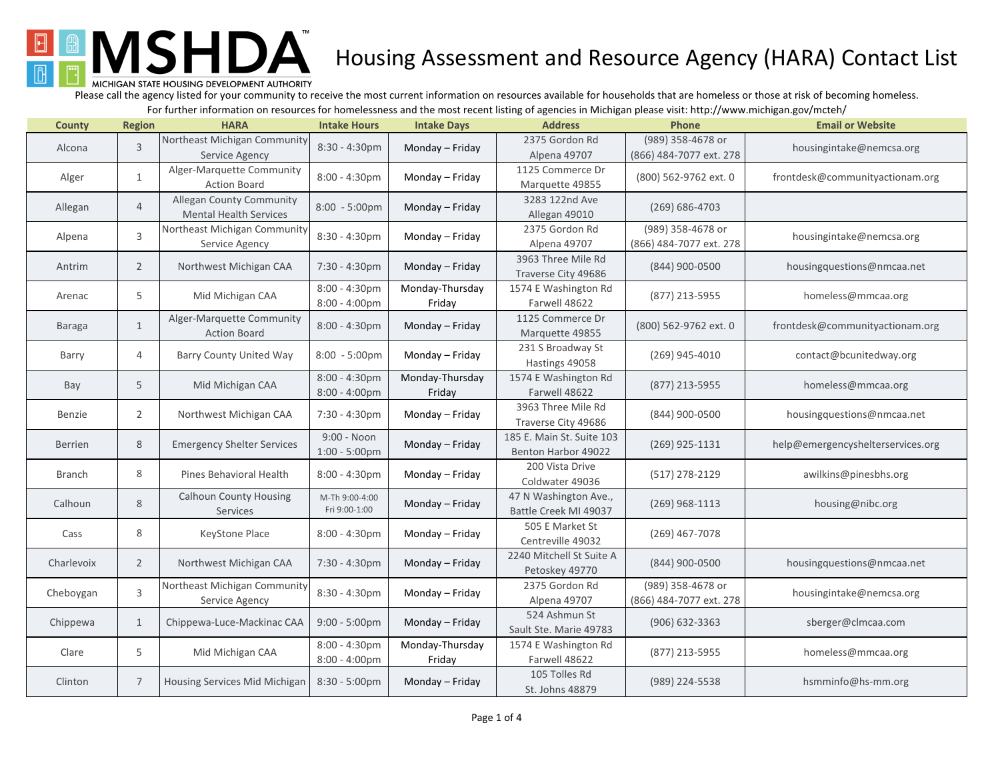## Housing Assessment and Resource Agency (HARA) Contact List

MICHIGAN STATE HOUSING DEVELOPMENT AUTHORITY

**ANSHDA** 

Please call the agency listed for your community to receive the most current information on resources available for households that are homeless or those at risk of becoming homeless. For further information on resources for homelessness and the most recent listing of agencies in Michigan please visit: http://www.michigan.gov/mcteh/

| <b>County</b>  | <b>Region</b>  | <b>HARA</b>                                                      | <b>Intake Hours</b>                         | <b>Intake Days</b>        | <b>Address</b>                                   | Phone                                        | <b>Email or Website</b>           |
|----------------|----------------|------------------------------------------------------------------|---------------------------------------------|---------------------------|--------------------------------------------------|----------------------------------------------|-----------------------------------|
| Alcona         | 3              | Northeast Michigan Community<br>Service Agency                   | $8:30 - 4:30$ pm                            | Monday - Friday           | 2375 Gordon Rd<br>Alpena 49707                   | (989) 358-4678 or<br>(866) 484-7077 ext. 278 | housingintake@nemcsa.org          |
| Alger          | $\mathbf{1}$   | Alger-Marquette Community<br><b>Action Board</b>                 | $8:00 - 4:30$ pm                            | Monday - Friday           | 1125 Commerce Dr<br>Marquette 49855              | (800) 562-9762 ext. 0                        | frontdesk@communityactionam.org   |
| Allegan        | $\overline{4}$ | <b>Allegan County Community</b><br><b>Mental Health Services</b> | 8:00 - 5:00pm                               | Monday - Friday           | 3283 122nd Ave<br>Allegan 49010                  | $(269) 686 - 4703$                           |                                   |
| Alpena         | 3              | Northeast Michigan Community<br>Service Agency                   | $8:30 - 4:30$ pm                            | Monday - Friday           | 2375 Gordon Rd<br>Alpena 49707                   | (989) 358-4678 or<br>(866) 484-7077 ext. 278 | housingintake@nemcsa.org          |
| Antrim         | $\overline{2}$ | Northwest Michigan CAA                                           | 7:30 - 4:30pm                               | Monday - Friday           | 3963 Three Mile Rd<br>Traverse City 49686        | (844) 900-0500                               | housingquestions@nmcaa.net        |
| Arenac         | 5              | Mid Michigan CAA                                                 | $8:00 - 4:30$ pm<br>8:00 - 4:00pm           | Monday-Thursday<br>Friday | 1574 E Washington Rd<br>Farwell 48622            | (877) 213-5955                               | homeless@mmcaa.org                |
| Baraga         | 1              | Alger-Marquette Community<br><b>Action Board</b>                 | $8:00 - 4:30$ pm                            | Monday - Friday           | 1125 Commerce Dr<br>Marquette 49855              | (800) 562-9762 ext. 0                        | frontdesk@communityactionam.org   |
| <b>Barry</b>   | $\overline{4}$ | Barry County United Way                                          | $8:00 - 5:00 \text{pm}$                     | Monday - Friday           | 231 S Broadway St<br>Hastings 49058              | (269) 945-4010                               | contact@bcunitedway.org           |
| Bay            | 5              | Mid Michigan CAA                                                 | $8:00 - 4:30$ pm<br>8:00 - 4:00pm           | Monday-Thursday<br>Friday | 1574 E Washington Rd<br>Farwell 48622            | (877) 213-5955                               | homeless@mmcaa.org                |
| <b>Benzie</b>  | 2              | Northwest Michigan CAA                                           | 7:30 - 4:30pm                               | Monday - Friday           | 3963 Three Mile Rd<br>Traverse City 49686        | (844) 900-0500                               | housingquestions@nmcaa.net        |
| <b>Berrien</b> | 8              | <b>Emergency Shelter Services</b>                                | 9:00 - Noon<br>$1:00 - 5:00 \text{pm}$      | Monday - Friday           | 185 E. Main St. Suite 103<br>Benton Harbor 49022 | (269) 925-1131                               | help@emergencyshelterservices.org |
| <b>Branch</b>  | 8              | Pines Behavioral Health                                          | $8:00 - 4:30$ pm                            | Monday - Friday           | 200 Vista Drive<br>Coldwater 49036               | (517) 278-2129                               | awilkins@pinesbhs.org             |
| Calhoun        | 8              | <b>Calhoun County Housing</b><br><b>Services</b>                 | M-Th 9:00-4:00<br>Fri 9:00-1:00             | Monday - Friday           | 47 N Washington Ave.,<br>Battle Creek MI 49037   | $(269)$ 968-1113                             | housing@nibc.org                  |
| Cass           | 8              | KeyStone Place                                                   | $8:00 - 4:30$ pm                            | Monday - Friday           | 505 E Market St<br>Centreville 49032             | (269) 467-7078                               |                                   |
| Charlevoix     | $\overline{2}$ | Northwest Michigan CAA                                           | 7:30 - 4:30pm                               | Monday - Friday           | 2240 Mitchell St Suite A<br>Petoskey 49770       | (844) 900-0500                               | housingquestions@nmcaa.net        |
| Cheboygan      | 3              | Northeast Michigan Community<br>Service Agency                   | $8:30 - 4:30$ pm                            | Monday - Friday           | 2375 Gordon Rd<br>Alpena 49707                   | (989) 358-4678 or<br>(866) 484-7077 ext. 278 | housingintake@nemcsa.org          |
| Chippewa       | 1              | Chippewa-Luce-Mackinac CAA                                       | $9:00 - 5:00 \text{pm}$                     | Monday - Friday           | 524 Ashmun St<br>Sault Ste. Marie 49783          | (906) 632-3363                               | sberger@clmcaa.com                |
| Clare          | 5              | Mid Michigan CAA                                                 | $8:00 - 4:30$ pm<br>$8:00 - 4:00 \text{pm}$ | Monday-Thursday<br>Friday | 1574 E Washington Rd<br>Farwell 48622            | (877) 213-5955                               | homeless@mmcaa.org                |
| Clinton        | 7              | Housing Services Mid Michigan                                    | $8:30 - 5:00 \text{pm}$                     | Monday - Friday           | 105 Tolles Rd<br>St. Johns 48879                 | (989) 224-5538                               | hsmminfo@hs-mm.org                |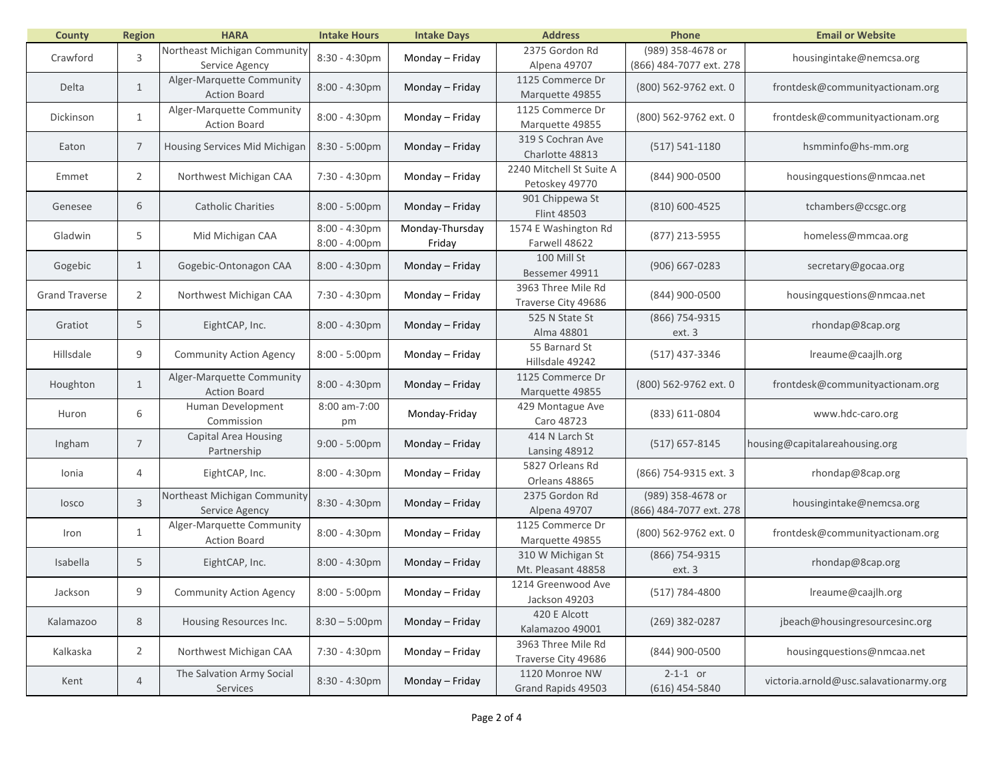| <b>County</b>         | <b>Region</b>  | <b>HARA</b>                    | <b>Intake Hours</b>     | <b>Intake Days</b> | <b>Address</b>           | <b>Phone</b>                   | <b>Email or Website</b>                |
|-----------------------|----------------|--------------------------------|-------------------------|--------------------|--------------------------|--------------------------------|----------------------------------------|
| Crawford              | 3              | Northeast Michigan Community   | $8:30 - 4:30$ pm        | Monday - Friday    | 2375 Gordon Rd           | (989) 358-4678 or              | housingintake@nemcsa.org               |
|                       |                | Service Agency                 |                         |                    | Alpena 49707             | (866) 484-7077 ext. 278        |                                        |
| Delta                 | $\mathbf{1}$   | Alger-Marquette Community      | $8:00 - 4:30$ pm        | Monday - Friday    | 1125 Commerce Dr         | (800) 562-9762 ext. 0          | frontdesk@communityactionam.org        |
|                       |                | <b>Action Board</b>            |                         |                    | Marquette 49855          |                                |                                        |
| Dickinson             | $\mathbf{1}$   | Alger-Marquette Community      | 8:00 - 4:30pm           | Monday - Friday    | 1125 Commerce Dr         | (800) 562-9762 ext. 0          | frontdesk@communityactionam.org        |
|                       |                | <b>Action Board</b>            |                         |                    | Marquette 49855          |                                |                                        |
| Eaton                 | $\overline{7}$ | Housing Services Mid Michigan  | $8:30 - 5:00 \text{pm}$ | Monday - Friday    | 319 S Cochran Ave        | $(517) 541 - 1180$             | hsmminfo@hs-mm.org                     |
|                       |                |                                |                         |                    | Charlotte 48813          |                                |                                        |
| Emmet                 | $\overline{2}$ | Northwest Michigan CAA         | 7:30 - 4:30pm           | Monday - Friday    | 2240 Mitchell St Suite A | (844) 900-0500                 | housingquestions@nmcaa.net             |
|                       |                |                                |                         |                    | Petoskey 49770           |                                |                                        |
| Genesee               | 6              | <b>Catholic Charities</b>      | 8:00 - 5:00pm           | Monday - Friday    | 901 Chippewa St          | (810) 600-4525                 | tchambers@ccsgc.org                    |
|                       |                |                                |                         |                    | Flint 48503              |                                |                                        |
| Gladwin               | 5              | Mid Michigan CAA               | $8:00 - 4:30$ pm        | Monday-Thursday    | 1574 E Washington Rd     | (877) 213-5955                 | homeless@mmcaa.org                     |
|                       |                |                                | 8:00 - 4:00pm           | Friday             | Farwell 48622            |                                |                                        |
| Gogebic               | $\mathbf{1}$   | Gogebic-Ontonagon CAA          | 8:00 - 4:30pm           | Monday – Friday    | 100 Mill St              | $(906) 667 - 0283$             | secretary@gocaa.org                    |
|                       |                |                                |                         |                    | Bessemer 49911           |                                |                                        |
| <b>Grand Traverse</b> | $\overline{2}$ | Northwest Michigan CAA         | 7:30 - 4:30pm           | Monday - Friday    | 3963 Three Mile Rd       | (844) 900-0500                 | housingquestions@nmcaa.net             |
|                       |                |                                |                         |                    | Traverse City 49686      |                                |                                        |
| Gratiot               | 5              | EightCAP, Inc.                 | $8:00 - 4:30$ pm        | Monday - Friday    | 525 N State St           | (866) 754-9315                 | rhondap@8cap.org                       |
|                       |                |                                |                         |                    | Alma 48801               | ext. 3                         |                                        |
| Hillsdale             | 9              | <b>Community Action Agency</b> | $8:00 - 5:00 \text{pm}$ | Monday - Friday    | 55 Barnard St            | (517) 437-3346                 | Ireaume@caajlh.org                     |
|                       |                |                                |                         |                    | Hillsdale 49242          |                                |                                        |
| Houghton              | $\mathbf{1}$   | Alger-Marquette Community      | 8:00 - 4:30pm           | Monday - Friday    | 1125 Commerce Dr         | (800) 562-9762 ext. 0          | frontdesk@communityactionam.org        |
|                       |                | <b>Action Board</b>            |                         |                    | Marquette 49855          |                                |                                        |
| Huron                 | 6              | Human Development              | 8:00 am-7:00            | Monday-Friday      | 429 Montague Ave         | (833) 611-0804                 | www.hdc-caro.org                       |
|                       |                | Commission                     | pm                      |                    | Caro 48723               |                                |                                        |
| Ingham                | $\overline{7}$ | Capital Area Housing           | $9:00 - 5:00$ pm        | Monday - Friday    | 414 N Larch St           | $(517)$ 657-8145               | housing@capitalareahousing.org         |
|                       |                | Partnership                    |                         |                    | Lansing 48912            |                                |                                        |
| Ionia                 | 4              | EightCAP, Inc.                 | 8:00 - 4:30pm           | Monday - Friday    | 5827 Orleans Rd          | (866) 754-9315 ext. 3          | rhondap@8cap.org                       |
|                       |                |                                |                         |                    | Orleans 48865            |                                |                                        |
| losco                 | 3              | Northeast Michigan Community   | 8:30 - 4:30pm           | Monday - Friday    | 2375 Gordon Rd           | (989) 358-4678 or              | housingintake@nemcsa.org               |
|                       |                | Service Agency                 |                         |                    | Alpena 49707             | (866) 484-7077 ext. 278        |                                        |
| Iron                  | $\mathbf{1}$   | Alger-Marquette Community      | $8:00 - 4:30$ pm        | Monday - Friday    | 1125 Commerce Dr         | (800) 562-9762 ext. 0          | frontdesk@communityactionam.org        |
|                       |                | <b>Action Board</b>            |                         |                    | Marquette 49855          |                                |                                        |
| Isabella              | 5              | EightCAP, Inc.                 | 8:00 - 4:30pm           | Monday - Friday    | 310 W Michigan St        | (866) 754-9315                 | rhondap@8cap.org                       |
|                       |                |                                |                         |                    | Mt. Pleasant 48858       | ext. 3                         |                                        |
| Jackson               | 9              | <b>Community Action Agency</b> | 8:00 - 5:00pm           | Monday - Friday    | 1214 Greenwood Ave       | (517) 784-4800                 | Ireaume@caajlh.org                     |
|                       |                |                                |                         |                    | Jackson 49203            |                                |                                        |
| Kalamazoo             | 8              | Housing Resources Inc.         | $8:30 - 5:00$ pm        | Monday - Friday    | 420 E Alcott             | (269) 382-0287                 | jbeach@housingresourcesinc.org         |
|                       |                |                                |                         |                    | Kalamazoo 49001          |                                |                                        |
| Kalkaska              | $\overline{2}$ | Northwest Michigan CAA         | 7:30 - 4:30pm           | Monday - Friday    | 3963 Three Mile Rd       | (844) 900-0500                 | housingquestions@nmcaa.net             |
|                       |                |                                |                         |                    | Traverse City 49686      |                                |                                        |
| Kent                  | 4              | The Salvation Army Social      | 8:30 - 4:30pm           | Monday - Friday    | 1120 Monroe NW           | $2-1-1$ or<br>$(616)$ 454-5840 | victoria.arnold@usc.salavationarmy.org |
|                       |                | Services                       |                         |                    | Grand Rapids 49503       |                                |                                        |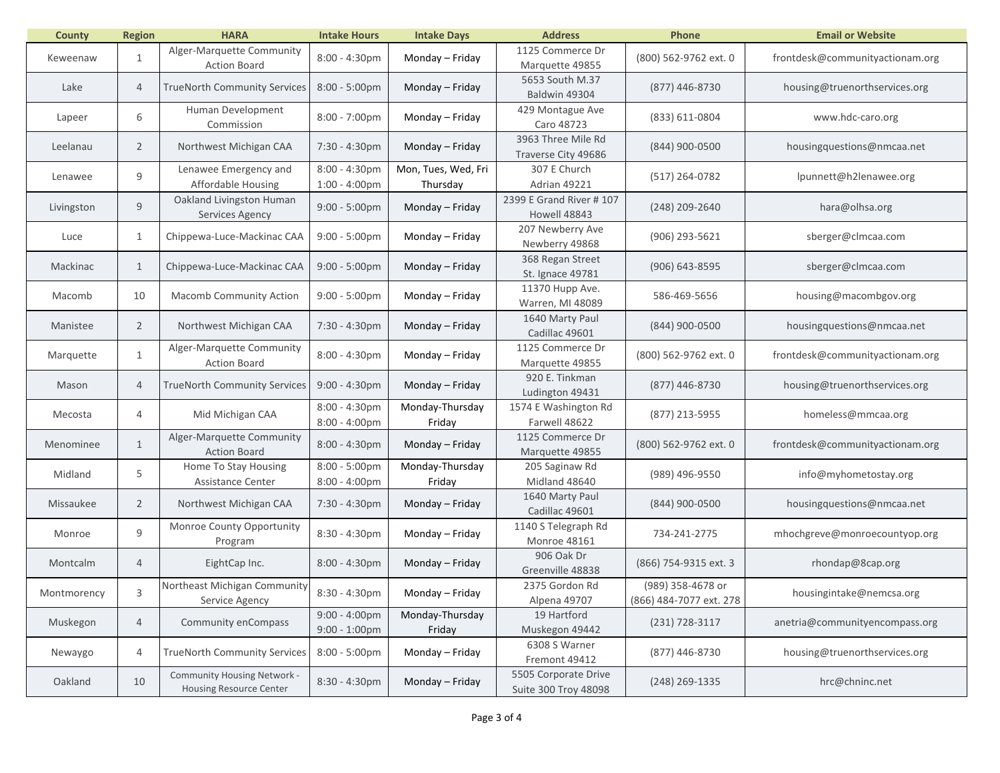| <b>County</b> | <b>Region</b>  | <b>HARA</b>                                            | <b>Intake Hours</b>                         | <b>Intake Days</b>              | <b>Address</b>                               | Phone                                        | <b>Email or Website</b>         |
|---------------|----------------|--------------------------------------------------------|---------------------------------------------|---------------------------------|----------------------------------------------|----------------------------------------------|---------------------------------|
| Keweenaw      | $\mathbf{1}$   | Alger-Marquette Community<br><b>Action Board</b>       | $8:00 - 4:30$ pm                            | Monday - Friday                 | 1125 Commerce Dr<br>Marquette 49855          | (800) 562-9762 ext. 0                        | frontdesk@communityactionam.org |
| Lake          | $\overline{4}$ | <b>TrueNorth Community Services</b>                    | $8:00 - 5:00 \text{pm}$                     | Monday - Friday                 | 5653 South M.37<br>Baldwin 49304             | (877) 446-8730                               | housing@truenorthservices.org   |
| Lapeer        | 6              | Human Development<br>Commission                        | $8:00 - 7:00 \text{pm}$                     | Monday - Friday                 | 429 Montague Ave<br>Caro 48723               | (833) 611-0804                               | www.hdc-caro.org                |
| Leelanau      | $\overline{2}$ | Northwest Michigan CAA                                 | 7:30 - 4:30pm                               | Monday - Friday                 | 3963 Three Mile Rd<br>Traverse City 49686    | (844) 900-0500                               | housingquestions@nmcaa.net      |
| Lenawee       | 9              | Lenawee Emergency and<br>Affordable Housing            | $8:00 - 4:30$ pm<br>$1:00 - 4:00 \text{pm}$ | Mon, Tues, Wed, Fri<br>Thursday | 307 E Church<br>Adrian 49221                 | (517) 264-0782                               | lpunnett@h2lenawee.org          |
| Livingston    | 9              | Oakland Livingston Human<br>Services Agency            | $9:00 - 5:00 \text{pm}$                     | Monday - Friday                 | 2399 E Grand River # 107<br>Howell 48843     | (248) 209-2640                               | hara@olhsa.org                  |
| Luce          | $\mathbf{1}$   | Chippewa-Luce-Mackinac CAA                             | $9:00 - 5:00$ pm                            | Monday - Friday                 | 207 Newberry Ave<br>Newberry 49868           | (906) 293-5621                               | sberger@clmcaa.com              |
| Mackinac      | 1              | Chippewa-Luce-Mackinac CAA                             | $9:00 - 5:00$ pm                            | Monday - Friday                 | 368 Regan Street<br>St. Ignace 49781         | (906) 643-8595                               | sberger@clmcaa.com              |
| Macomb        | 10             | <b>Macomb Community Action</b>                         | $9:00 - 5:00 \text{pm}$                     | Monday - Friday                 | 11370 Hupp Ave.<br>Warren, MI 48089          | 586-469-5656                                 | housing@macombgov.org           |
| Manistee      | $\overline{2}$ | Northwest Michigan CAA                                 | 7:30 - 4:30pm                               | Monday - Friday                 | 1640 Marty Paul<br>Cadillac 49601            | (844) 900-0500                               | housingquestions@nmcaa.net      |
| Marquette     | $\mathbf{1}$   | Alger-Marquette Community<br><b>Action Board</b>       | $8:00 - 4:30$ pm                            | Monday - Friday                 | 1125 Commerce Dr<br>Marquette 49855          | (800) 562-9762 ext. 0                        | frontdesk@communityactionam.org |
| Mason         | $\overline{4}$ | <b>TrueNorth Community Services</b>                    | $9:00 - 4:30$ pm                            | Monday - Friday                 | 920 E. Tinkman<br>Ludington 49431            | (877) 446-8730                               | housing@truenorthservices.org   |
| Mecosta       | 4              | Mid Michigan CAA                                       | $8:00 - 4:30$ pm<br>8:00 - 4:00pm           | Monday-Thursday<br>Friday       | 1574 E Washington Rd<br>Farwell 48622        | (877) 213-5955                               | homeless@mmcaa.org              |
| Menominee     | $\mathbf{1}$   | Alger-Marquette Community<br><b>Action Board</b>       | $8:00 - 4:30$ pm                            | Monday - Friday                 | 1125 Commerce Dr<br>Marquette 49855          | (800) 562-9762 ext. 0                        | frontdesk@communityactionam.org |
| Midland       | 5              | Home To Stay Housing<br>Assistance Center              | 8:00 - 5:00pm<br>8:00 - 4:00pm              | Monday-Thursday<br>Friday       | 205 Saginaw Rd<br>Midland 48640              | (989) 496-9550                               | info@myhometostay.org           |
| Missaukee     | $\overline{2}$ | Northwest Michigan CAA                                 | 7:30 - 4:30pm                               | Monday - Friday                 | 1640 Marty Paul<br>Cadillac 49601            | (844) 900-0500                               | housingquestions@nmcaa.net      |
| Monroe        | 9              | Monroe County Opportunity<br>Program                   | 8:30 - 4:30pm                               | Monday - Friday                 | 1140 S Telegraph Rd<br>Monroe 48161          | 734-241-2775                                 | mhochgreve@monroecountyop.org   |
| Montcalm      | $\overline{4}$ | EightCap Inc.                                          | 8:00 - 4:30pm                               | Monday - Friday                 | 906 Oak Dr<br>Greenville 48838               | (866) 754-9315 ext. 3                        | rhondap@8cap.org                |
| Montmorency   | 3              | Northeast Michigan Community<br>Service Agency         | 8:30 - 4:30pm                               | Monday - Friday                 | 2375 Gordon Rd<br>Alpena 49707               | (989) 358-4678 or<br>(866) 484-7077 ext. 278 | housingintake@nemcsa.org        |
| Muskegon      | $\overline{4}$ | Community enCompass                                    | $9:00 - 4:00 \text{pm}$<br>$9:00 - 1:00$ pm | Monday-Thursday<br>Friday       | 19 Hartford<br>Muskegon 49442                | $(231) 728 - 3117$                           | anetria@communityencompass.org  |
| Newaygo       | 4              | <b>TrueNorth Community Services</b>                    | 8:00 - 5:00pm                               | Monday - Friday                 | 6308 S Warner<br>Fremont 49412               | (877) 446-8730                               | housing@truenorthservices.org   |
| Oakland       | 10             | Community Housing Network -<br>Housing Resource Center | 8:30 - 4:30pm                               | Monday - Friday                 | 5505 Corporate Drive<br>Suite 300 Troy 48098 | (248) 269-1335                               | hrc@chninc.net                  |